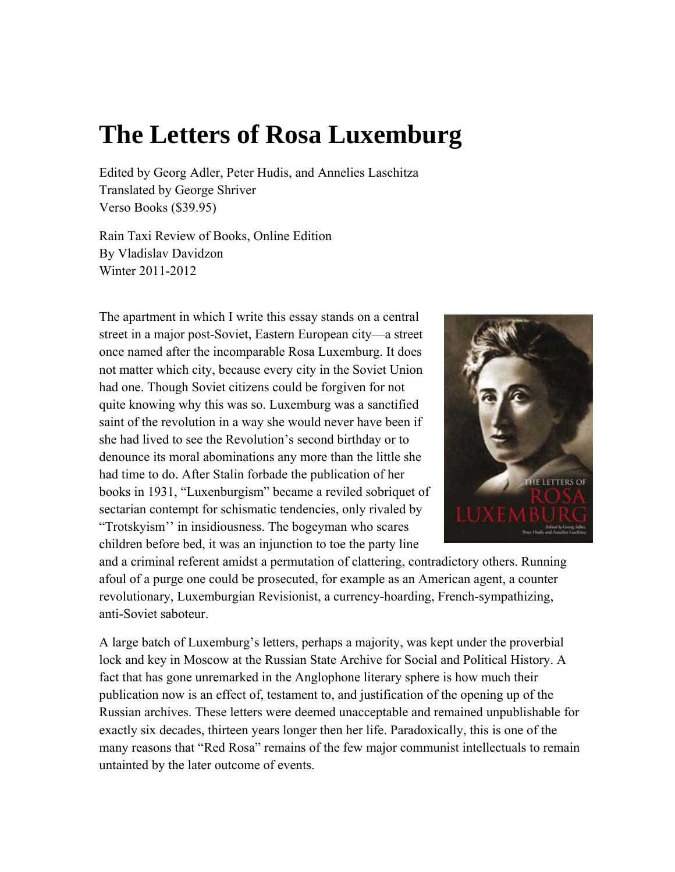# **The Letters of Rosa Luxemburg**

Edited by Georg Adler, Peter Hudis, and Annelies Laschitza Translated by George Shriver Verso Books (\$39.95)

Rain Taxi Review of Books, Online Edition By Vladislav Davidzon Winter 2011-2012

The apartment in which I write this essay stands on a central street in a major post-Soviet, Eastern European city—a street once named after the incomparable Rosa Luxemburg. It does not matter which city, because every city in the Soviet Union had one. Though Soviet citizens could be forgiven for not quite knowing why this was so. Luxemburg was a sanctified saint of the revolution in a way she would never have been if she had lived to see the Revolution's second birthday or to denounce its moral abominations any more than the little she had time to do. After Stalin forbade the publication of her books in 1931, "Luxenburgism" became a reviled sobriquet of sectarian contempt for schismatic tendencies, only rivaled by "Trotskyism'' in insidiousness. The bogeyman who scares children before bed, it was an injunction to toe the party line



and a criminal referent amidst a permutation of clattering, contradictory others. Running afoul of a purge one could be prosecuted, for example as an American agent, a counter revolutionary, Luxemburgian Revisionist, a currency-hoarding, French-sympathizing, anti-Soviet saboteur.

A large batch of Luxemburg's letters, perhaps a majority, was kept under the proverbial lock and key in Moscow at the Russian State Archive for Social and Political History. A fact that has gone unremarked in the Anglophone literary sphere is how much their publication now is an effect of, testament to, and justification of the opening up of the Russian archives. These letters were deemed unacceptable and remained unpublishable for exactly six decades, thirteen years longer then her life. Paradoxically, this is one of the many reasons that "Red Rosa" remains of the few major communist intellectuals to remain untainted by the later outcome of events.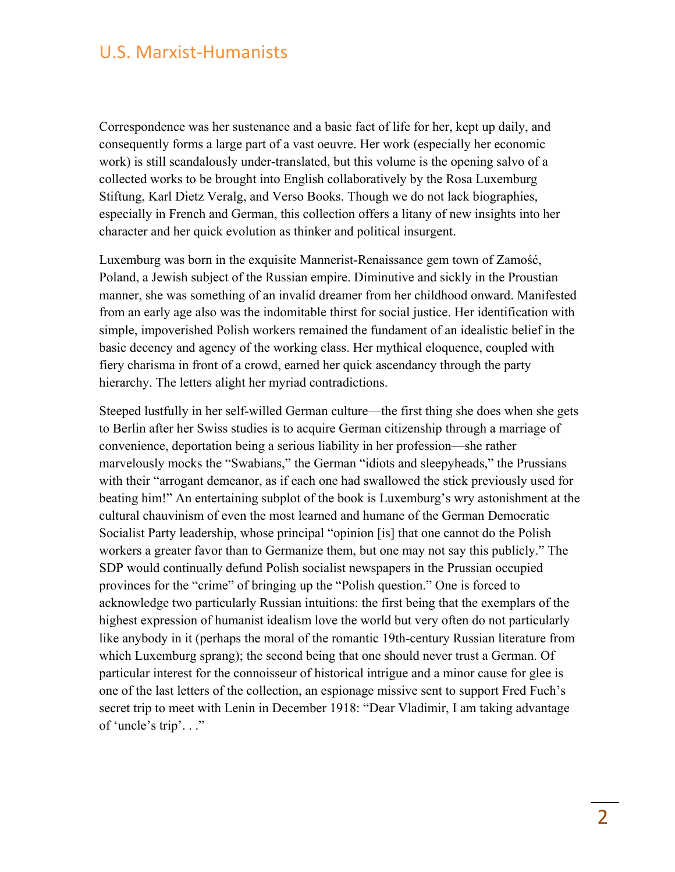Correspondence was her sustenance and a basic fact of life for her, kept up daily, and consequently forms a large part of a vast oeuvre. Her work (especially her economic work) is still scandalously under-translated, but this volume is the opening salvo of a collected works to be brought into English collaboratively by the Rosa Luxemburg Stiftung, Karl Dietz Veralg, and Verso Books. Though we do not lack biographies, especially in French and German, this collection offers a litany of new insights into her character and her quick evolution as thinker and political insurgent.

Luxemburg was born in the exquisite Mannerist-Renaissance gem town of Zamość, Poland, a Jewish subject of the Russian empire. Diminutive and sickly in the Proustian manner, she was something of an invalid dreamer from her childhood onward. Manifested from an early age also was the indomitable thirst for social justice. Her identification with simple, impoverished Polish workers remained the fundament of an idealistic belief in the basic decency and agency of the working class. Her mythical eloquence, coupled with fiery charisma in front of a crowd, earned her quick ascendancy through the party hierarchy. The letters alight her myriad contradictions.

Steeped lustfully in her self-willed German culture—the first thing she does when she gets to Berlin after her Swiss studies is to acquire German citizenship through a marriage of convenience, deportation being a serious liability in her profession—she rather marvelously mocks the "Swabians," the German "idiots and sleepyheads," the Prussians with their "arrogant demeanor, as if each one had swallowed the stick previously used for beating him!" An entertaining subplot of the book is Luxemburg's wry astonishment at the cultural chauvinism of even the most learned and humane of the German Democratic Socialist Party leadership, whose principal "opinion [is] that one cannot do the Polish workers a greater favor than to Germanize them, but one may not say this publicly." The SDP would continually defund Polish socialist newspapers in the Prussian occupied provinces for the "crime" of bringing up the "Polish question." One is forced to acknowledge two particularly Russian intuitions: the first being that the exemplars of the highest expression of humanist idealism love the world but very often do not particularly like anybody in it (perhaps the moral of the romantic 19th-century Russian literature from which Luxemburg sprang); the second being that one should never trust a German. Of particular interest for the connoisseur of historical intrigue and a minor cause for glee is one of the last letters of the collection, an espionage missive sent to support Fred Fuch's secret trip to meet with Lenin in December 1918: "Dear Vladimir, I am taking advantage of 'uncle's trip'. . ."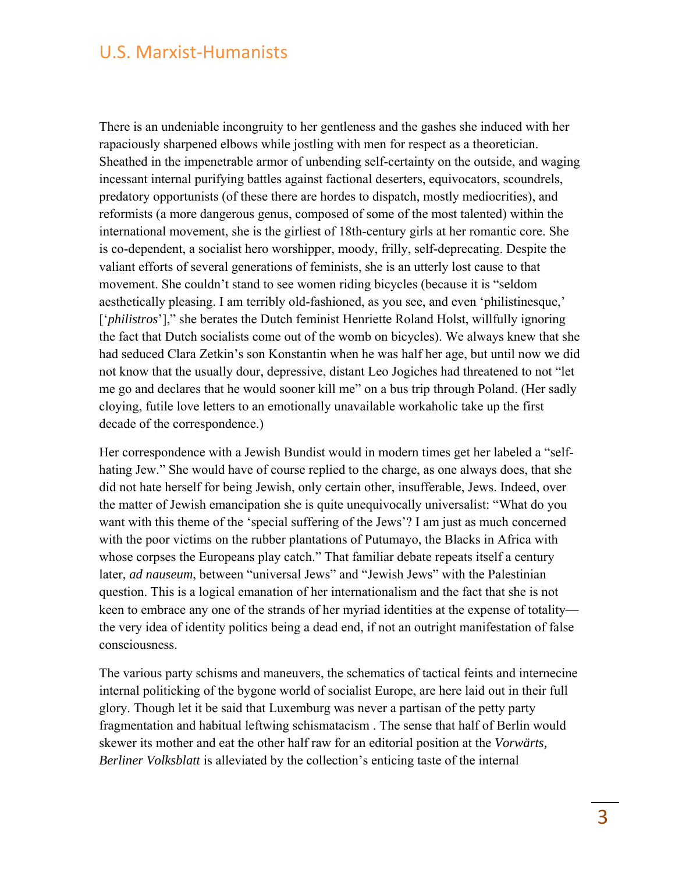There is an undeniable incongruity to her gentleness and the gashes she induced with her rapaciously sharpened elbows while jostling with men for respect as a theoretician. Sheathed in the impenetrable armor of unbending self-certainty on the outside, and waging incessant internal purifying battles against factional deserters, equivocators, scoundrels, predatory opportunists (of these there are hordes to dispatch, mostly mediocrities), and reformists (a more dangerous genus, composed of some of the most talented) within the international movement, she is the girliest of 18th-century girls at her romantic core. She is co-dependent, a socialist hero worshipper, moody, frilly, self-deprecating. Despite the valiant efforts of several generations of feminists, she is an utterly lost cause to that movement. She couldn't stand to see women riding bicycles (because it is "seldom aesthetically pleasing. I am terribly old-fashioned, as you see, and even 'philistinesque,' ['*philistros*']," she berates the Dutch feminist Henriette Roland Holst, willfully ignoring the fact that Dutch socialists come out of the womb on bicycles). We always knew that she had seduced Clara Zetkin's son Konstantin when he was half her age, but until now we did not know that the usually dour, depressive, distant Leo Jogiches had threatened to not "let me go and declares that he would sooner kill me" on a bus trip through Poland. (Her sadly cloying, futile love letters to an emotionally unavailable workaholic take up the first decade of the correspondence.)

Her correspondence with a Jewish Bundist would in modern times get her labeled a "selfhating Jew." She would have of course replied to the charge, as one always does, that she did not hate herself for being Jewish, only certain other, insufferable, Jews. Indeed, over the matter of Jewish emancipation she is quite unequivocally universalist: "What do you want with this theme of the 'special suffering of the Jews'? I am just as much concerned with the poor victims on the rubber plantations of Putumayo, the Blacks in Africa with whose corpses the Europeans play catch." That familiar debate repeats itself a century later, *ad nauseum*, between "universal Jews" and "Jewish Jews" with the Palestinian question. This is a logical emanation of her internationalism and the fact that she is not keen to embrace any one of the strands of her myriad identities at the expense of totality the very idea of identity politics being a dead end, if not an outright manifestation of false consciousness.

The various party schisms and maneuvers, the schematics of tactical feints and internecine internal politicking of the bygone world of socialist Europe, are here laid out in their full glory. Though let it be said that Luxemburg was never a partisan of the petty party fragmentation and habitual leftwing schismatacism . The sense that half of Berlin would skewer its mother and eat the other half raw for an editorial position at the *Vorwärts, Berliner Volksblatt* is alleviated by the collection's enticing taste of the internal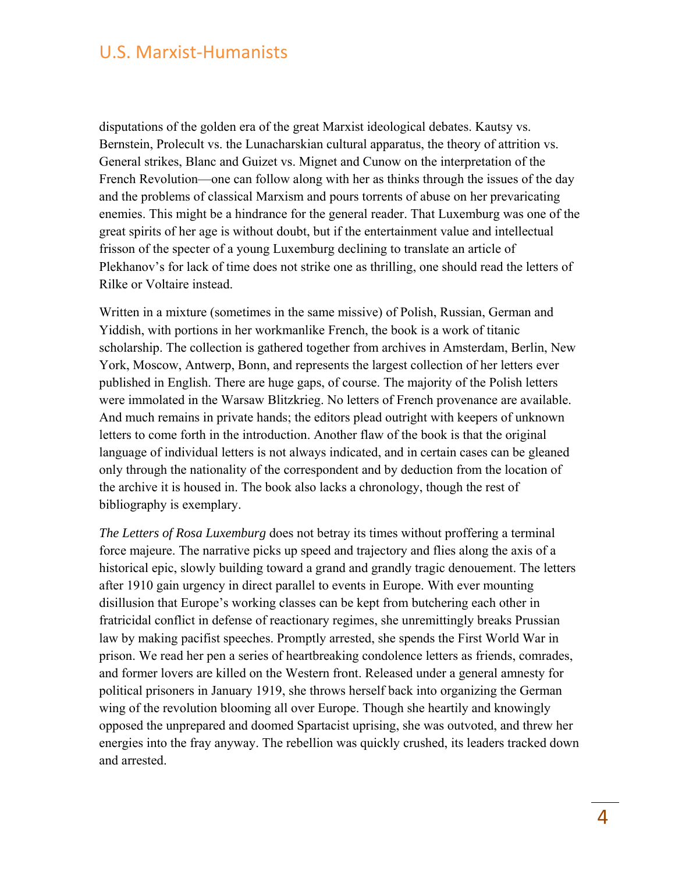disputations of the golden era of the great Marxist ideological debates. Kautsy vs. Bernstein, Prolecult vs. the Lunacharskian cultural apparatus, the theory of attrition vs. General strikes, Blanc and Guizet vs. Mignet and Cunow on the interpretation of the French Revolution—one can follow along with her as thinks through the issues of the day and the problems of classical Marxism and pours torrents of abuse on her prevaricating enemies. This might be a hindrance for the general reader. That Luxemburg was one of the great spirits of her age is without doubt, but if the entertainment value and intellectual frisson of the specter of a young Luxemburg declining to translate an article of Plekhanov's for lack of time does not strike one as thrilling, one should read the letters of Rilke or Voltaire instead.

Written in a mixture (sometimes in the same missive) of Polish, Russian, German and Yiddish, with portions in her workmanlike French, the book is a work of titanic scholarship. The collection is gathered together from archives in Amsterdam, Berlin, New York, Moscow, Antwerp, Bonn, and represents the largest collection of her letters ever published in English. There are huge gaps, of course. The majority of the Polish letters were immolated in the Warsaw Blitzkrieg. No letters of French provenance are available. And much remains in private hands; the editors plead outright with keepers of unknown letters to come forth in the introduction. Another flaw of the book is that the original language of individual letters is not always indicated, and in certain cases can be gleaned only through the nationality of the correspondent and by deduction from the location of the archive it is housed in. The book also lacks a chronology, though the rest of bibliography is exemplary.

*The Letters of Rosa Luxemburg* does not betray its times without proffering a terminal force majeure. The narrative picks up speed and trajectory and flies along the axis of a historical epic, slowly building toward a grand and grandly tragic denouement. The letters after 1910 gain urgency in direct parallel to events in Europe. With ever mounting disillusion that Europe's working classes can be kept from butchering each other in fratricidal conflict in defense of reactionary regimes, she unremittingly breaks Prussian law by making pacifist speeches. Promptly arrested, she spends the First World War in prison. We read her pen a series of heartbreaking condolence letters as friends, comrades, and former lovers are killed on the Western front. Released under a general amnesty for political prisoners in January 1919, she throws herself back into organizing the German wing of the revolution blooming all over Europe. Though she heartily and knowingly opposed the unprepared and doomed Spartacist uprising, she was outvoted, and threw her energies into the fray anyway. The rebellion was quickly crushed, its leaders tracked down and arrested.